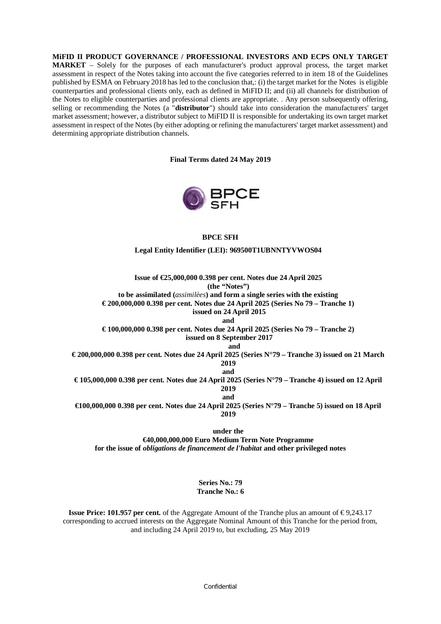**MiFID II PRODUCT GOVERNANCE / PROFESSIONAL INVESTORS AND ECPS ONLY TARGET MARKET** – Solely for the purposes of each manufacturer's product approval process, the target market assessment in respect of the Notes taking into account the five categories referred to in item 18 of the Guidelines published by ESMA on February 2018 has led to the conclusion that,: (i) the target market for the Notes is eligible counterparties and professional clients only, each as defined in MiFID II; and (ii) all channels for distribution of the Notes to eligible counterparties and professional clients are appropriate. . Any person subsequently offering, selling or recommending the Notes (a "**distributor**") should take into consideration the manufacturers' target market assessment; however, a distributor subject to MiFID II is responsible for undertaking its own target market assessment in respect of the Notes (by either adopting or refining the manufacturers' target market assessment) and determining appropriate distribution channels.

**Final Terms dated 24 May 2019**



### **BPCE SFH**

**Legal Entity Identifier (LEI): 969500T1UBNNTYVWOS04**

**Issue of €25,000,000 0.398 per cent. Notes due 24 April 2025 (the "Notes")**

**to be assimilated (***assimilèes***) and form a single series with the existing**

**€ 200,000,000 0.398 per cent. Notes due 24 April 2025 (Series No 79 – Tranche 1)**

 **issued on 24 April 2015**

**and**

**€ 100,000,000 0.398 per cent. Notes due 24 April 2025 (Series No 79 – Tranche 2) issued on 8 September 2017**

 **and**

**€ 200,000,000 0.398 per cent. Notes due 24 April 2025 (Series N°79 – Tranche 3) issued on 21 March 2019**

**and**

**€ 105,000,000 0.398 per cent. Notes due 24 April 2025 (Series N°79 – Tranche 4) issued on 12 April 2019 and**

**€100,000,000 0.398 per cent. Notes due 24 April 2025 (Series N°79 – Tranche 5) issued on 18 April 2019**

**under the**

**€40,000,000,000 Euro Medium Term Note Programme**

**for the issue of** *obligations de financement de l'habitat* **and other privileged notes**

**Series No.: 79 Tranche No.: 6**

**Issue Price: 101.957 per cent.** of the Aggregate Amount of the Tranche plus an amount of  $\epsilon$ 9,243.17 corresponding to accrued interests on the Aggregate Nominal Amount of this Tranche for the period from, and including 24 April 2019 to, but excluding, 25 May 2019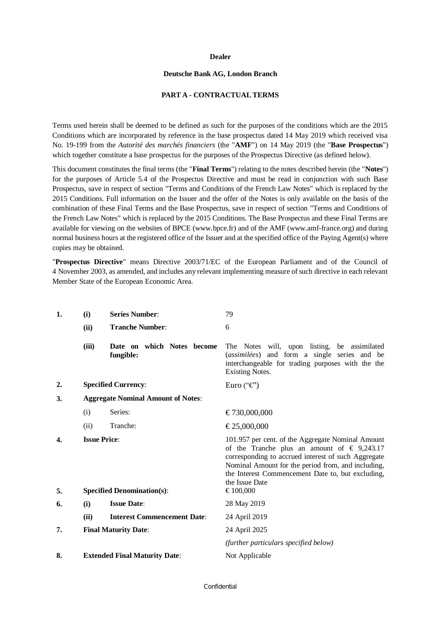#### **Dealer**

#### **Deutsche Bank AG, London Branch**

#### **PART A - CONTRACTUAL TERMS**

Terms used herein shall be deemed to be defined as such for the purposes of the conditions which are the 2015 Conditions which are incorporated by reference in the base prospectus dated 14 May 2019 which received visa No. 19-199 from the *Autorité des marchés financiers* (the "**AMF**") on 14 May 2019 (the "**Base Prospectus**") which together constitute a base prospectus for the purposes of the Prospectus Directive (as defined below).

This document constitutes the final terms (the "**Final Terms**") relating to the notes described herein (the "**Notes**") for the purposes of Article 5.4 of the Prospectus Directive and must be read in conjunction with such Base Prospectus, save in respect of section "Terms and Conditions of the French Law Notes" which is replaced by the 2015 Conditions. Full information on the Issuer and the offer of the Notes is only available on the basis of the combination of these Final Terms and the Base Prospectus, save in respect of section "Terms and Conditions of the French Law Notes" which is replaced by the 2015 Conditions. The Base Prospectus and these Final Terms are available for viewing on the websites of BPCE (www.bpce.fr) and of the AMF (www.amf-france.org) and during normal business hours at the registered office of the Issuer and at the specified office of the Paying Agent(s) where copies may be obtained.

"**Prospectus Directive**" means Directive 2003/71/EC of the European Parliament and of the Council of 4 November 2003, as amended, and includes any relevant implementing measure of such directive in each relevant Member State of the European Economic Area.

| 1. | (i)                                       | <b>Series Number:</b>                   | 79                                                                                                                                                                                                                                                                                            |
|----|-------------------------------------------|-----------------------------------------|-----------------------------------------------------------------------------------------------------------------------------------------------------------------------------------------------------------------------------------------------------------------------------------------------|
|    | (ii)                                      | <b>Tranche Number:</b>                  | 6                                                                                                                                                                                                                                                                                             |
|    | (iii)                                     | Date on which Notes become<br>fungible: | The Notes will, upon listing, be assimilated<br>(assimilées) and form a single series and be<br>interchangeable for trading purposes with the the<br><b>Existing Notes.</b>                                                                                                                   |
| 2. |                                           | <b>Specified Currency:</b>              | Euro (" $\epsilon$ ")                                                                                                                                                                                                                                                                         |
| 3. | <b>Aggregate Nominal Amount of Notes:</b> |                                         |                                                                                                                                                                                                                                                                                               |
|    | (i)                                       | Series:                                 | €730,000,000                                                                                                                                                                                                                                                                                  |
|    | (ii)                                      | Tranche:                                | €25,000,000                                                                                                                                                                                                                                                                                   |
| 4. | <b>Issue Price:</b>                       |                                         | 101.957 per cent. of the Aggregate Nominal Amount<br>of the Tranche plus an amount of $\epsilon$ 9,243.17<br>corresponding to accrued interest of such Aggregate<br>Nominal Amount for the period from, and including,<br>the Interest Commencement Date to, but excluding,<br>the Issue Date |
| 5. | <b>Specified Denomination(s):</b>         |                                         | €100,000                                                                                                                                                                                                                                                                                      |
| 6. | (i)                                       | <b>Issue Date:</b>                      | 28 May 2019                                                                                                                                                                                                                                                                                   |
|    | (ii)                                      | <b>Interest Commencement Date:</b>      | 24 April 2019                                                                                                                                                                                                                                                                                 |
| 7. |                                           | <b>Final Maturity Date:</b>             | 24 April 2025                                                                                                                                                                                                                                                                                 |
|    |                                           |                                         | (further particulars specified below)                                                                                                                                                                                                                                                         |
| 8. |                                           | <b>Extended Final Maturity Date:</b>    | Not Applicable                                                                                                                                                                                                                                                                                |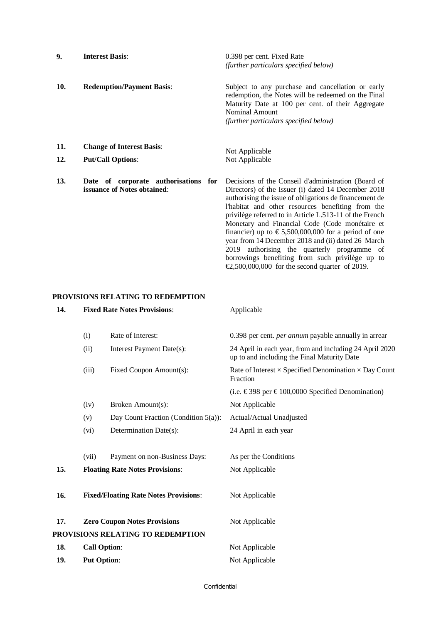| 9.         | <b>Interest Basis:</b>                                              | 0.398 per cent. Fixed Rate<br>(further particulars specified below)                                                                                                                                                                                                                                                                                                                                                                                                                                                                                                        |
|------------|---------------------------------------------------------------------|----------------------------------------------------------------------------------------------------------------------------------------------------------------------------------------------------------------------------------------------------------------------------------------------------------------------------------------------------------------------------------------------------------------------------------------------------------------------------------------------------------------------------------------------------------------------------|
| 10.        | <b>Redemption/Payment Basis:</b>                                    | Subject to any purchase and cancellation or early<br>redemption, the Notes will be redeemed on the Final<br>Maturity Date at 100 per cent. of their Aggregate<br><b>Nominal Amount</b><br>(further particulars specified below)                                                                                                                                                                                                                                                                                                                                            |
| 11.<br>12. | <b>Change of Interest Basis:</b><br><b>Put/Call Options:</b>        | Not Applicable<br>Not Applicable                                                                                                                                                                                                                                                                                                                                                                                                                                                                                                                                           |
| 13.        | Date of corporate authorisations for<br>issuance of Notes obtained: | Decisions of the Conseil d'administration (Board of<br>Directors) of the Issuer (i) dated 14 December 2018<br>authorising the issue of obligations de financement de<br>l'habitat and other resources benefiting from the<br>privilège referred to in Article L.513-11 of the French<br>Monetary and Financial Code (Code monétaire et<br>financier) up to $\text{\textsterling}5,500,000,000$ for a period of one<br>year from 14 December 2018 and (ii) dated 26 March<br>2019 authorising the quarterly programme of<br>borrowings benefiting from such privilege up to |

€2,500,000,000 for the second quarter of 2019.

# **PROVISIONS RELATING TO REDEMPTION**

| 14. | <b>Fixed Rate Notes Provisions:</b> |                                              | Applicable                                                                                             |  |
|-----|-------------------------------------|----------------------------------------------|--------------------------------------------------------------------------------------------------------|--|
|     |                                     |                                              |                                                                                                        |  |
|     | (i)                                 | Rate of Interest:                            | 0.398 per cent. <i>per annum</i> payable annually in arrear                                            |  |
|     | (ii)                                | Interest Payment Date(s):                    | 24 April in each year, from and including 24 April 2020<br>up to and including the Final Maturity Date |  |
|     | (iii)                               | Fixed Coupon Amount(s):                      | Rate of Interest $\times$ Specified Denomination $\times$ Day Count<br>Fraction                        |  |
|     |                                     |                                              | (i.e. €398 per €100,0000 Specified Denomination)                                                       |  |
|     | (iv)                                | Broken Amount(s):                            | Not Applicable                                                                                         |  |
|     | (v)                                 | Day Count Fraction (Condition $5(a)$ ):      | Actual/Actual Unadjusted                                                                               |  |
|     | (vi)                                | Determination Date(s):                       | 24 April in each year                                                                                  |  |
|     |                                     |                                              |                                                                                                        |  |
|     | (vii)                               | Payment on non-Business Days:                | As per the Conditions                                                                                  |  |
| 15. |                                     | <b>Floating Rate Notes Provisions:</b>       | Not Applicable                                                                                         |  |
|     |                                     |                                              |                                                                                                        |  |
| 16. |                                     | <b>Fixed/Floating Rate Notes Provisions:</b> | Not Applicable                                                                                         |  |
|     |                                     |                                              |                                                                                                        |  |
| 17. |                                     | <b>Zero Coupon Notes Provisions</b>          | Not Applicable                                                                                         |  |
|     |                                     | PROVISIONS RELATING TO REDEMPTION            |                                                                                                        |  |
| 18. | <b>Call Option:</b>                 |                                              | Not Applicable                                                                                         |  |
| 19. | <b>Put Option:</b>                  |                                              | Not Applicable                                                                                         |  |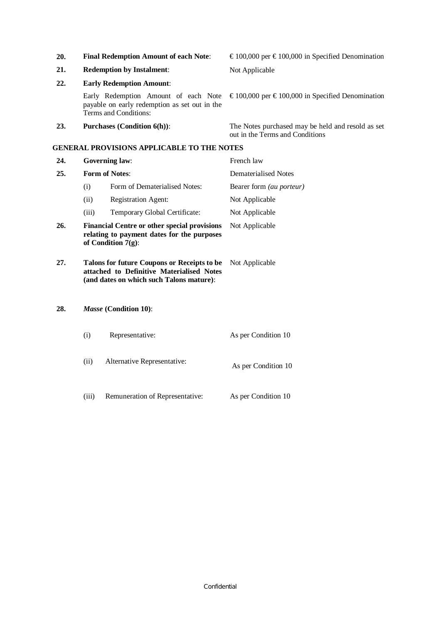**20. Final Redemption Amount of each Note**: € 100,000 per € 100,000 in Specified Denomination **21. Redemption by Instalment**: Not Applicable **22. Early Redemption Amount**: Early Redemption Amount of each Note payable on early redemption as set out in the Terms and Conditions: € 100,000 per € 100,000 in Specified Denomination **23. Purchases (Condition 6(h))**: The Notes purchased may be held and resold as set out in the Terms and Conditions

#### **GENERAL PROVISIONS APPLICABLE TO THE NOTES**

| 24. |                                                                                                                                              | <b>Governing law:</b>                                                                                                                | French law               |
|-----|----------------------------------------------------------------------------------------------------------------------------------------------|--------------------------------------------------------------------------------------------------------------------------------------|--------------------------|
| 25. | <b>Form of Notes:</b>                                                                                                                        |                                                                                                                                      | Dematerialised Notes     |
|     | (i)                                                                                                                                          | Form of Dematerialised Notes:                                                                                                        | Bearer form (au porteur) |
|     | (ii)                                                                                                                                         | <b>Registration Agent:</b>                                                                                                           | Not Applicable           |
|     | (iii)                                                                                                                                        | Temporary Global Certificate:                                                                                                        | Not Applicable           |
| 26. | <b>Financial Centre or other special provisions</b><br>Not Applicable<br>relating to payment dates for the purposes<br>of Condition $7(g)$ : |                                                                                                                                      |                          |
| 27. |                                                                                                                                              | Talons for future Coupons or Receipts to be<br>attached to Definitive Materialised Notes<br>(and dates on which such Talons mature): | Not Applicable           |
| 28. |                                                                                                                                              | <i>Masse</i> (Condition 10):                                                                                                         |                          |
|     | (i)                                                                                                                                          | Representative:                                                                                                                      | As per Condition 10      |

- (ii) Alternative Representative: As per Condition 10
- (iii) Remuneration of Representative: As per Condition 10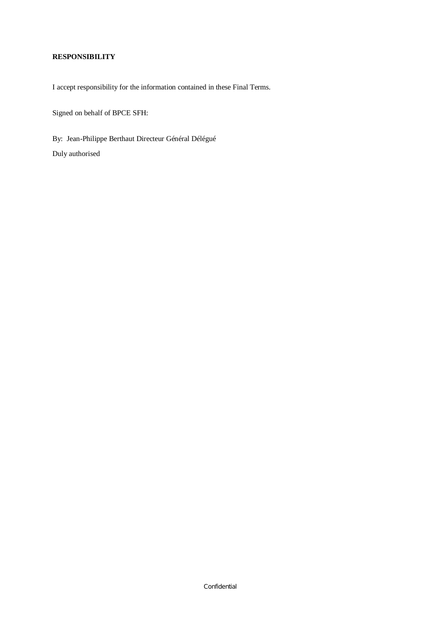# **RESPONSIBILITY**

I accept responsibility for the information contained in these Final Terms.

Signed on behalf of BPCE SFH:

By: Jean-Philippe Berthaut Directeur Général Délégué Duly authorised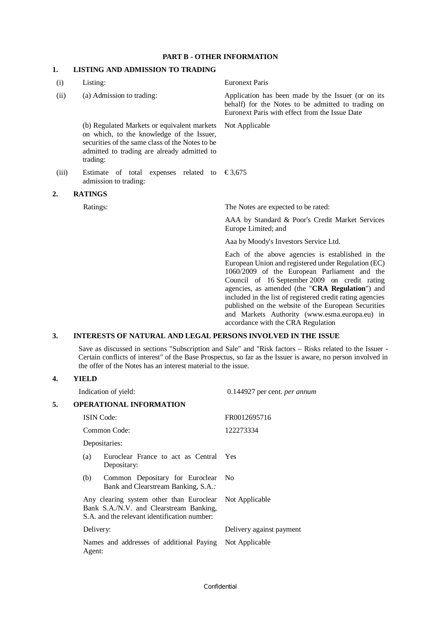#### **PART B - OTHER INFORMATION**

# **1. LISTING AND ADMISSION TO TRADING**

| (i)   | Listing:                                                                                                                                                                                               | <b>Euronext Paris</b>                                                                                                                                                                                                                                                                                                                                                                                                                                                  |
|-------|--------------------------------------------------------------------------------------------------------------------------------------------------------------------------------------------------------|------------------------------------------------------------------------------------------------------------------------------------------------------------------------------------------------------------------------------------------------------------------------------------------------------------------------------------------------------------------------------------------------------------------------------------------------------------------------|
| (ii)  | (a) Admission to trading:                                                                                                                                                                              | Application has been made by the Issuer (or on its<br>behalf) for the Notes to be admitted to trading on<br>Euronext Paris with effect from the Issue Date                                                                                                                                                                                                                                                                                                             |
|       | (b) Regulated Markets or equivalent markets<br>on which, to the knowledge of the Issuer,<br>securities of the same class of the Notes to be<br>admitted to trading are already admitted to<br>trading: | Not Applicable                                                                                                                                                                                                                                                                                                                                                                                                                                                         |
| (iii) | Estimate of total expenses related to<br>admission to trading:                                                                                                                                         | €3,675                                                                                                                                                                                                                                                                                                                                                                                                                                                                 |
| 2.    | <b>RATINGS</b>                                                                                                                                                                                         |                                                                                                                                                                                                                                                                                                                                                                                                                                                                        |
|       | Ratings:                                                                                                                                                                                               | The Notes are expected to be rated:                                                                                                                                                                                                                                                                                                                                                                                                                                    |
|       |                                                                                                                                                                                                        | AAA by Standard & Poor's Credit Market Services<br>Europe Limited; and                                                                                                                                                                                                                                                                                                                                                                                                 |
|       |                                                                                                                                                                                                        | Aaa by Moody's Investors Service Ltd.                                                                                                                                                                                                                                                                                                                                                                                                                                  |
|       |                                                                                                                                                                                                        | Each of the above agencies is established in the<br>European Union and registered under Regulation (EC)<br>1060/2009 of the European Parliament and the<br>Council of 16 September 2009 on credit rating<br>agencies, as amended (the "CRA Regulation") and<br>included in the list of registered credit rating agencies<br>published on the website of the European Securities<br>and Markets Authority (www.esma.europa.eu) in<br>accordance with the CRA Regulation |

### **3. INTERESTS OF NATURAL AND LEGAL PERSONS INVOLVED IN THE ISSUE**

Save as discussed in sections "Subscription and Sale" and "Risk factors – Risks related to the Issuer - Certain conflicts of interest" of the Base Prospectus, so far as the Issuer is aware, no person involved in the offer of the Notes has an interest material to the issue.

### **4. YIELD**

|    |           | Indication of yield:                                                                                                                               | 0.144927 per cent. <i>per annum</i> |
|----|-----------|----------------------------------------------------------------------------------------------------------------------------------------------------|-------------------------------------|
| 5. |           | <b>OPERATIONAL INFORMATION</b>                                                                                                                     |                                     |
|    |           | <b>ISIN</b> Code:                                                                                                                                  | FR0012695716                        |
|    |           | Common Code:                                                                                                                                       | 122273334                           |
|    |           | Depositaries:                                                                                                                                      |                                     |
|    | (a)       | Euroclear France to act as Central<br>Depositary:                                                                                                  | Yes                                 |
|    | (b)       | Common Depositary for Euroclear<br>Bank and Clearstream Banking, S.A.:                                                                             | N <sub>0</sub>                      |
|    |           | Any clearing system other than Euroclear Not Applicable<br>Bank S.A./N.V. and Clearstream Banking,<br>S.A. and the relevant identification number: |                                     |
|    | Delivery: |                                                                                                                                                    | Delivery against payment            |
|    | Agent:    | Names and addresses of additional Paying Not Applicable                                                                                            |                                     |